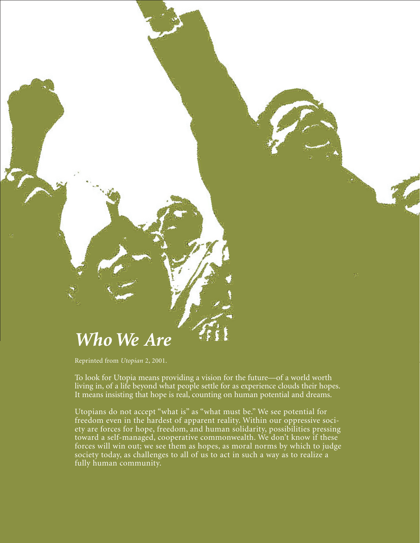

Reprinted from *Utopian* 2, 2001.

To look for Utopia means providing a vision for the future—of a world worth living in, of a life beyond what people settle for as experience clouds their hopes. It means insisting that hope is real, counting on human potential and dreams.

Utopians do not accept "what is" as "what must be." We see potential for freedom even in the hardest of apparent reality. Within our oppressive society are forces for hope, freedom, and human solidarity, possibilities pressing toward a self-managed, cooperative commonwealth. We don't know if these forces will win out; we see them as hopes, as moral norms by which to judge society today, as challenges to all of us to act in such a way as to realize a fully human community.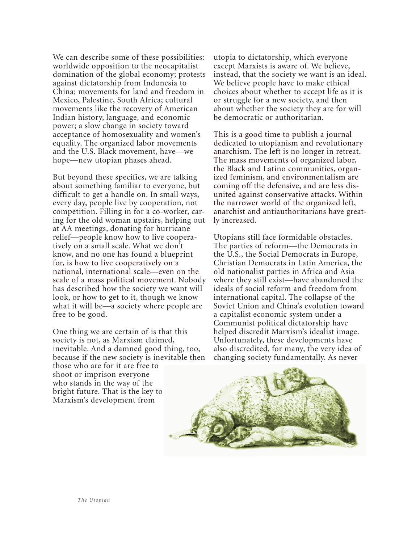We can describe some of these possibilities: worldwide opposition to the neocapitalist domination of the global economy; protests against dictatorship from Indonesia to China; movements for land and freedom in Mexico, Palestine, South Africa; cultural movements like the recovery of American Indian history, language, and economic power; a slow change in society toward acceptance of homosexuality and women's equality. The organized labor movements and the U.S. Black movement, have—we hope—new utopian phases ahead.

But beyond these specifics, we are talking about something familiar to everyone, but difficult to get a handle on. In small ways, every day, people live by cooperation, not competition. Filling in for a co-worker, caring for the old woman upstairs, helping out at AA meetings, donating for hurricane relief—people know how to live cooperatively on a small scale. What we don't know, and no one has found a blueprint for, is how to live cooperatively on a national, international scale—even on the scale of a mass political movement. Nobody has described how the society we want will look, or how to get to it, though we know what it will be—a society where people are free to be good.

One thing we are certain of is that this society is not, as Marxism claimed, inevitable. And a damned good thing, too, because if the new society is inevitable then those who are for it are free to shoot or imprison everyone who stands in the way of the bright future. That is the key to Marxism's development from

utopia to dictatorship, which everyone except Marxists is aware of. We believe, instead, that the society we want is an ideal. We believe people have to make ethical choices about whether to accept life as it is or struggle for a new society, and then about whether the society they are for will be democratic or authoritarian.

This is a good time to publish a journal dedicated to utopianism and revolutionary anarchism. The left is no longer in retreat. The mass movements of organized labor, the Black and Latino communities, organized feminism, and environmentalism are coming off the defensive, and are less disunited against conservative attacks. Within the narrower world of the organized left, anarchist and antiauthoritarians have greatly increased.

 Utopians still face formidable obstacles. The parties of reform—the Democrats in the U.S., the Social Democrats in Europe, Christian Democrats in Latin America, the old nationalist parties in Africa and Asia where they still exist—have abandoned the ideals of social reform and freedom from international capital. The collapse of the Soviet Union and China's evolution toward a capitalist economic system under a Communist political dictatorship have helped discredit Marxism's idealist image. Unfortunately, these developments have also discredited, for many, the very idea of changing society fundamentally. As never